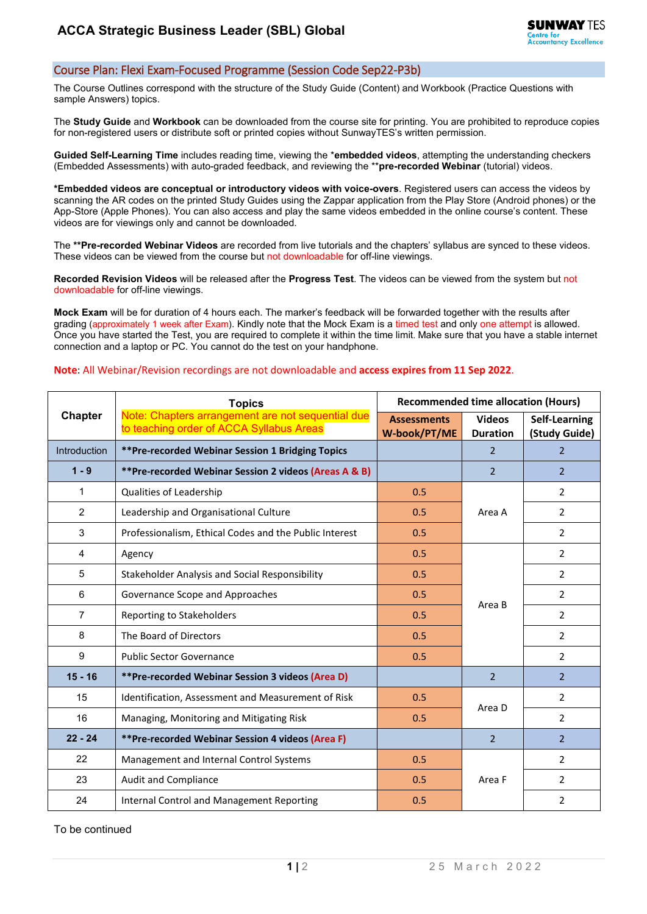## Course Plan: Flexi Exam-Focused Programme (Session Code Sep22-P3b)

The Course Outlines correspond with the structure of the Study Guide (Content) and Workbook (Practice Questions with sample Answers) topics.

The **Study Guide** and **Workbook** can be downloaded from the course site for printing. You are prohibited to reproduce copies for non-registered users or distribute soft or printed copies without SunwayTES's written permission.

**Guided Self-Learning Time** includes reading time, viewing the \***embedded videos**, attempting the understanding checkers (Embedded Assessments) with auto-graded feedback, and reviewing the \*\***pre-recorded Webinar** (tutorial) videos.

**\*Embedded videos are conceptual or introductory videos with voice-overs**. Registered users can access the videos by scanning the AR codes on the printed Study Guides using the Zappar application from the Play Store (Android phones) or the App-Store (Apple Phones). You can also access and play the same videos embedded in the online course's content. These videos are for viewings only and cannot be downloaded.

The **\*\*Pre-recorded Webinar Videos** are recorded from live tutorials and the chapters' syllabus are synced to these videos. These videos can be viewed from the course but not downloadable for off-line viewings.

**Recorded Revision Videos** will be released after the **Progress Test**. The videos can be viewed from the system but not downloadable for off-line viewings.

**Mock Exam** will be for duration of 4 hours each. The marker's feedback will be forwarded together with the results after grading (approximately 1 week after Exam). Kindly note that the Mock Exam is a timed test and only one attempt is allowed. Once you have started the Test, you are required to complete it within the time limit. Make sure that you have a stable internet connection and a laptop or PC. You cannot do the test on your handphone.

## **Note**: All Webinar/Revision recordings are not downloadable and **access expires from 11 Sep 2022**.

| Chapter             | <b>Topics</b><br>Note: Chapters arrangement are not sequential due<br>to teaching order of ACCA Syllabus Areas | <b>Recommended time allocation (Hours)</b> |                                  |                                |
|---------------------|----------------------------------------------------------------------------------------------------------------|--------------------------------------------|----------------------------------|--------------------------------|
|                     |                                                                                                                | <b>Assessments</b><br>W-book/PT/ME         | <b>Videos</b><br><b>Duration</b> | Self-Learning<br>(Study Guide) |
| <b>Introduction</b> | **Pre-recorded Webinar Session 1 Bridging Topics                                                               |                                            | $\overline{2}$                   | $\overline{2}$                 |
| $1 - 9$             | **Pre-recorded Webinar Session 2 videos (Areas A & B)                                                          |                                            | $\overline{2}$                   | $\overline{2}$                 |
| 1                   | Qualities of Leadership                                                                                        | 0.5                                        | Area A                           | $\overline{2}$                 |
| $\overline{2}$      | Leadership and Organisational Culture                                                                          | 0.5                                        |                                  | $\overline{2}$                 |
| 3                   | Professionalism, Ethical Codes and the Public Interest                                                         | 0.5                                        |                                  | $\overline{2}$                 |
| $\overline{4}$      | Agency                                                                                                         | 0.5                                        | Area B                           | $\overline{2}$                 |
| 5                   | Stakeholder Analysis and Social Responsibility                                                                 | 0.5                                        |                                  | $\overline{2}$                 |
| 6                   | Governance Scope and Approaches                                                                                | 0.5                                        |                                  | $\overline{2}$                 |
| $\overline{7}$      | Reporting to Stakeholders                                                                                      | 0.5                                        |                                  | $\overline{2}$                 |
| 8                   | The Board of Directors                                                                                         | 0.5                                        |                                  | $\overline{2}$                 |
| 9                   | <b>Public Sector Governance</b>                                                                                | 0.5                                        |                                  | $\overline{2}$                 |
| $15 - 16$           | **Pre-recorded Webinar Session 3 videos (Area D)                                                               |                                            | $\overline{2}$                   | $\overline{2}$                 |
| 15                  | Identification, Assessment and Measurement of Risk                                                             | 0.5                                        | Area D                           | $\overline{2}$                 |
| 16                  | Managing, Monitoring and Mitigating Risk                                                                       | 0.5                                        |                                  | $\overline{2}$                 |
| $22 - 24$           | **Pre-recorded Webinar Session 4 videos (Area F)                                                               |                                            | $\overline{2}$                   | $\overline{2}$                 |
| 22                  | Management and Internal Control Systems                                                                        | 0.5                                        |                                  | $\overline{2}$                 |
| 23                  | <b>Audit and Compliance</b>                                                                                    | 0.5                                        | Area F                           | $\overline{2}$                 |
| 24                  | Internal Control and Management Reporting                                                                      | 0.5                                        |                                  | 2                              |

To be continued